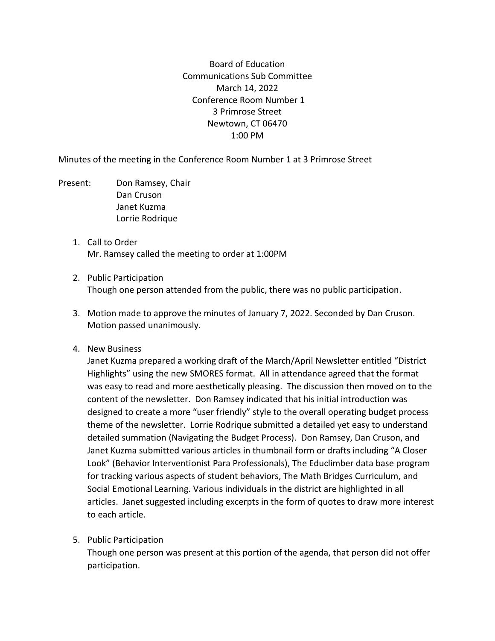Board of Education Communications Sub Committee March 14, 2022 Conference Room Number 1 3 Primrose Street Newtown, CT 06470 1:00 PM

Minutes of the meeting in the Conference Room Number 1 at 3 Primrose Street

- Present: Don Ramsey, Chair Dan Cruson Janet Kuzma Lorrie Rodrique
	- 1. Call to Order Mr. Ramsey called the meeting to order at 1:00PM
	- 2. Public Participation Though one person attended from the public, there was no public participation.
	- 3. Motion made to approve the minutes of January 7, 2022. Seconded by Dan Cruson. Motion passed unanimously.
	- 4. New Business

Janet Kuzma prepared a working draft of the March/April Newsletter entitled "District Highlights" using the new SMORES format. All in attendance agreed that the format was easy to read and more aesthetically pleasing. The discussion then moved on to the content of the newsletter. Don Ramsey indicated that his initial introduction was designed to create a more "user friendly" style to the overall operating budget process theme of the newsletter. Lorrie Rodrique submitted a detailed yet easy to understand detailed summation (Navigating the Budget Process). Don Ramsey, Dan Cruson, and Janet Kuzma submitted various articles in thumbnail form or drafts including "A Closer Look" (Behavior Interventionist Para Professionals), The Educlimber data base program for tracking various aspects of student behaviors, The Math Bridges Curriculum, and Social Emotional Learning. Various individuals in the district are highlighted in all articles. Janet suggested including excerpts in the form of quotes to draw more interest to each article.

5. Public Participation

Though one person was present at this portion of the agenda, that person did not offer participation.